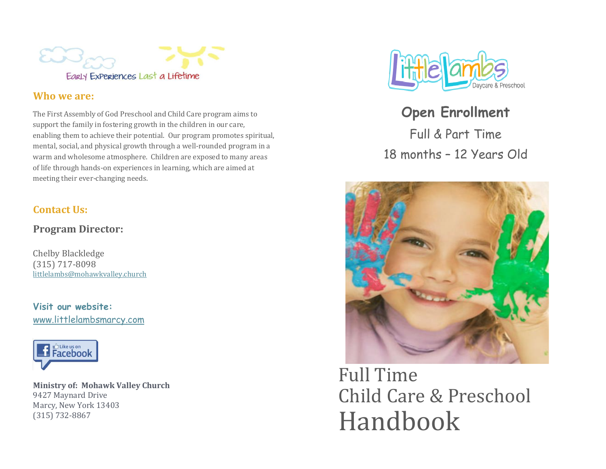

## **Who we are:**

The First Assembly of God Preschool and Child Care program aims to support the family in fostering growth in the children in our care, enabling them to achieve their potential. Our program promotes spiritual, mental, social, and physical growth through a well-rounded program in a warm and wholesome atmosphere. Children are exposed to many areas of life through hands-on experiences in learning, which are aimed at meeting their ever-changing needs.

## **Contact Us:**

**Program Director:**

Chelby Blackledge (315) 717-8098 littlelambs@mohawkvalley.church

**Visit our website:** www.littlelambsmarcy.com



**Ministry of: Mohawk Valley Church** 9427 Maynard Drive Marcy, New York 13403 (315) 732-8867



**Open Enrollment** Full & Part Time 18 months – 12 Years Old



Full Time Child Care & Preschool Handbook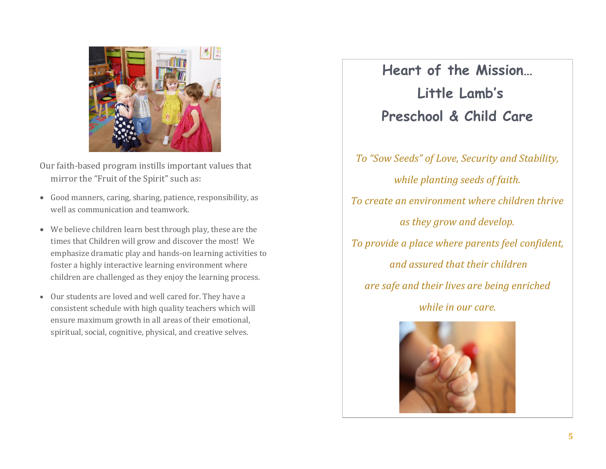

Our faith-based program instills important values that mirror the "Fruit of the Spirit" such as:

- Good manners, caring, sharing, patience, responsibility, as well as communication and teamwork.
- We believe children learn best through play, these are the times that Children will grow and discover the most! We emphasize dramatic play and hands-on learning activities to foster a highly interactive learning environment where children are challenged as they enjoy the learning process.
- Our students are loved and well cared for. They have a consistent schedule with high quality teachers which will ensure maximum growth in all areas of their emotional, spiritual, social, cognitive, physical, and creative selves.

**Heart of the Mission… Little Lamb's Preschool & Child Care** 

*To "Sow Seeds" of Love, Security and Stability, while planting seeds of faith. To create an environment where children thrive as they grow and develop. To provide a place where parents feel confident, and assured that their children are safe and their lives are being enriched while in our care.*

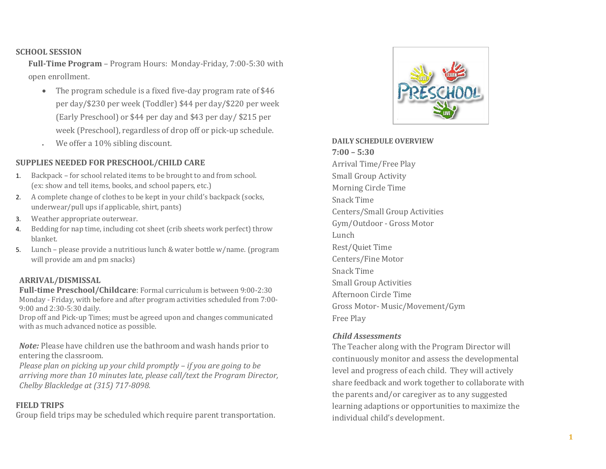#### **SCHOOL SESSION**

**Full-Time Program** – Program Hours: Monday-Friday, 7:00-5:30 with open enrollment.

- The program schedule is a fixed five-day program rate of \$46 per day/\$230 per week (Toddler) \$44 per day/\$220 per week (Early Preschool) or \$44 per day and \$43 per day/ \$215 per week (Preschool), regardless of drop off or pick-up schedule.
- We offer a 10% sibling discount.

### **SUPPLIES NEEDED FOR PRESCHOOL/CHILD CARE**

- 1. Backpack for school related items to be brought to and from school. (ex: show and tell items, books, and school papers, etc.)
- 2. A complete change of clothes to be kept in your child's backpack (socks, underwear/pull ups if applicable, shirt, pants)
- 3. Weather appropriate outerwear.
- 4. Bedding for nap time, including cot sheet (crib sheets work perfect) throw blanket.
- 5. Lunch please provide a nutritious lunch & water bottle w/name. (program will provide am and pm snacks)

### **ARRIVAL/DISMISSAL**

**Full-time Preschool/Childcare**: Formal curriculum is between 9:00-2:30 Monday - Friday, with before and after program activities scheduled from 7:00- 9:00 and 2:30-5:30 daily.

Drop off and Pick-up Times; must be agreed upon and changes communicated with as much advanced notice as possible.

*Note:* Please have children use the bathroom and wash hands prior to entering the classroom.

*Please plan on picking up your child promptly – if you are going to be arriving more than 10 minutes late, please call/text the Program Director, Chelby Blackledge at (315) 717-8098.*

#### **FIELD TRIPS**

Group field trips may be scheduled which require parent transportation.



**DAILY SCHEDULE OVERVIEW 7:00 – 5:30** Arrival Time/Free Play Small Group Activity Morning Circle Time Snack Time Centers/Small Group Activities Gym/Outdoor - Gross Motor Lunch Rest/Quiet Time Centers/Fine Motor Snack Time Small Group Activities Afternoon Circle Time Gross Motor- Music/Movement/Gym Free Play

#### *Child Assessments*

The Teacher along with the Program Director will continuously monitor and assess the developmental level and progress of each child. They will actively share feedback and work together to collaborate with the parents and/or caregiver as to any suggested learning adaptions or opportunities to maximize the individual child's development.